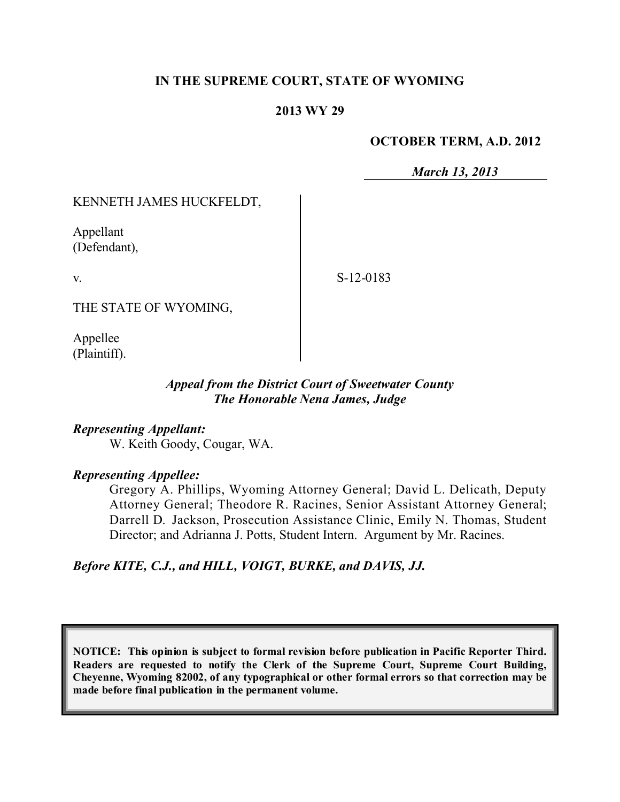## **IN THE SUPREME COURT, STATE OF WYOMING**

#### **2013 WY 29**

#### **OCTOBER TERM, A.D. 2012**

*March 13, 2013*

### KENNETH JAMES HUCKFELDT,

Appellant (Defendant),

v.

S-12-0183

THE STATE OF WYOMING,

Appellee (Plaintiff).

## *Appeal from the District Court of Sweetwater County The Honorable Nena James, Judge*

*Representing Appellant:* W. Keith Goody, Cougar, WA.

#### *Representing Appellee:*

Gregory A. Phillips, Wyoming Attorney General; David L. Delicath, Deputy Attorney General; Theodore R. Racines, Senior Assistant Attorney General; Darrell D. Jackson, Prosecution Assistance Clinic, Emily N. Thomas, Student Director; and Adrianna J. Potts, Student Intern. Argument by Mr. Racines.

*Before KITE, C.J., and HILL, VOIGT, BURKE, and DAVIS, JJ.*

**NOTICE: This opinion is subject to formal revision before publication in Pacific Reporter Third. Readers are requested to notify the Clerk of the Supreme Court, Supreme Court Building, Cheyenne, Wyoming 82002, of any typographical or other formal errors so that correction may be made before final publication in the permanent volume.**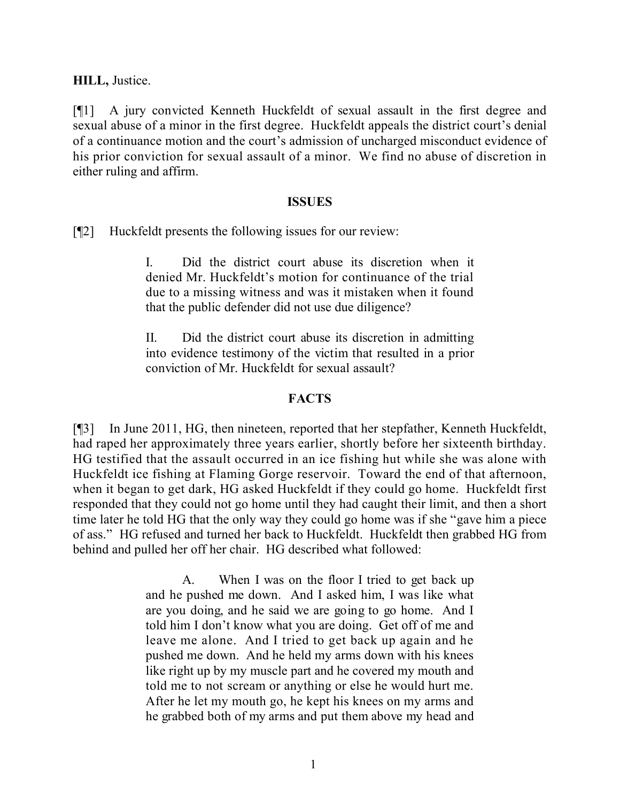**HILL,** Justice.

[¶1] A jury convicted Kenneth Huckfeldt of sexual assault in the first degree and sexual abuse of a minor in the first degree. Huckfeldt appeals the district court's denial of a continuance motion and the court's admission of uncharged misconduct evidence of his prior conviction for sexual assault of a minor. We find no abuse of discretion in either ruling and affirm.

### **ISSUES**

[¶2] Huckfeldt presents the following issues for our review:

I. Did the district court abuse its discretion when it denied Mr. Huckfeldt's motion for continuance of the trial due to a missing witness and was it mistaken when it found that the public defender did not use due diligence?

II. Did the district court abuse its discretion in admitting into evidence testimony of the victim that resulted in a prior conviction of Mr. Huckfeldt for sexual assault?

### **FACTS**

[¶3] In June 2011, HG, then nineteen, reported that her stepfather, Kenneth Huckfeldt, had raped her approximately three years earlier, shortly before her sixteenth birthday. HG testified that the assault occurred in an ice fishing hut while she was alone with Huckfeldt ice fishing at Flaming Gorge reservoir. Toward the end of that afternoon, when it began to get dark, HG asked Huckfeldt if they could go home. Huckfeldt first responded that they could not go home until they had caught their limit, and then a short time later he told HG that the only way they could go home was if she "gave him a piece of ass." HG refused and turned her back to Huckfeldt. Huckfeldt then grabbed HG from behind and pulled her off her chair. HG described what followed:

> A. When I was on the floor I tried to get back up and he pushed me down. And I asked him, I was like what are you doing, and he said we are going to go home. And I told him I don't know what you are doing. Get off of me and leave me alone. And I tried to get back up again and he pushed me down. And he held my arms down with his knees like right up by my muscle part and he covered my mouth and told me to not scream or anything or else he would hurt me. After he let my mouth go, he kept his knees on my arms and he grabbed both of my arms and put them above my head and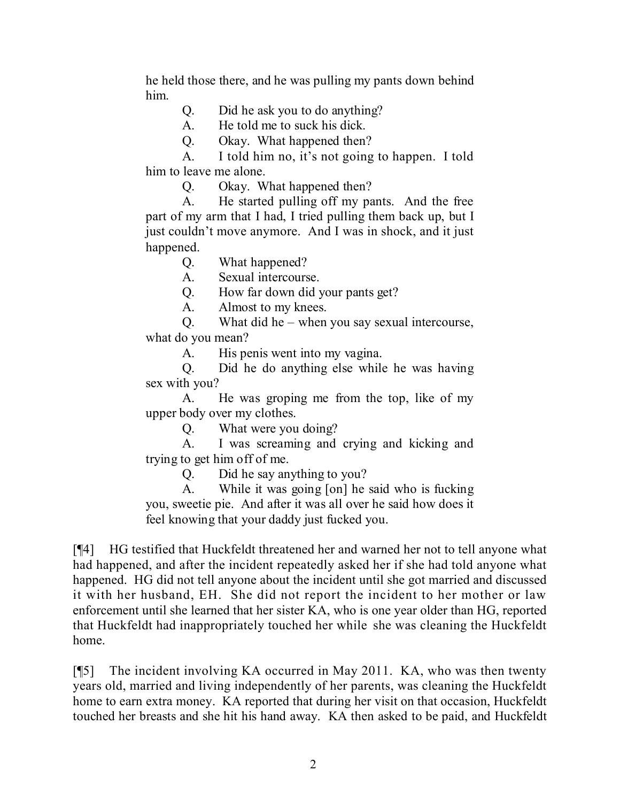he held those there, and he was pulling my pants down behind him.

Q. Did he ask you to do anything?

A. He told me to suck his dick.

Q. Okay. What happened then?

A. I told him no, it's not going to happen. I told him to leave me alone.

Q. Okay. What happened then?

A. He started pulling off my pants. And the free part of my arm that I had, I tried pulling them back up, but I just couldn't move anymore. And I was in shock, and it just happened.

Q. What happened?

A. Sexual intercourse.

Q. How far down did your pants get?

A. Almost to my knees.

Q. What did he – when you say sexual intercourse, what do you mean?

A. His penis went into my vagina.

Q. Did he do anything else while he was having sex with you?

A. He was groping me from the top, like of my upper body over my clothes.

Q. What were you doing?

A. I was screaming and crying and kicking and trying to get him off of me.

Q. Did he say anything to you?

A. While it was going [on] he said who is fucking you, sweetie pie. And after it was all over he said how does it feel knowing that your daddy just fucked you.

[¶4] HG testified that Huckfeldt threatened her and warned her not to tell anyone what had happened, and after the incident repeatedly asked her if she had told anyone what happened. HG did not tell anyone about the incident until she got married and discussed it with her husband, EH. She did not report the incident to her mother or law enforcement until she learned that her sister KA, who is one year older than HG, reported that Huckfeldt had inappropriately touched her while she was cleaning the Huckfeldt home.

[¶5] The incident involving KA occurred in May 2011. KA, who was then twenty years old, married and living independently of her parents, was cleaning the Huckfeldt home to earn extra money. KA reported that during her visit on that occasion, Huckfeldt touched her breasts and she hit his hand away. KA then asked to be paid, and Huckfeldt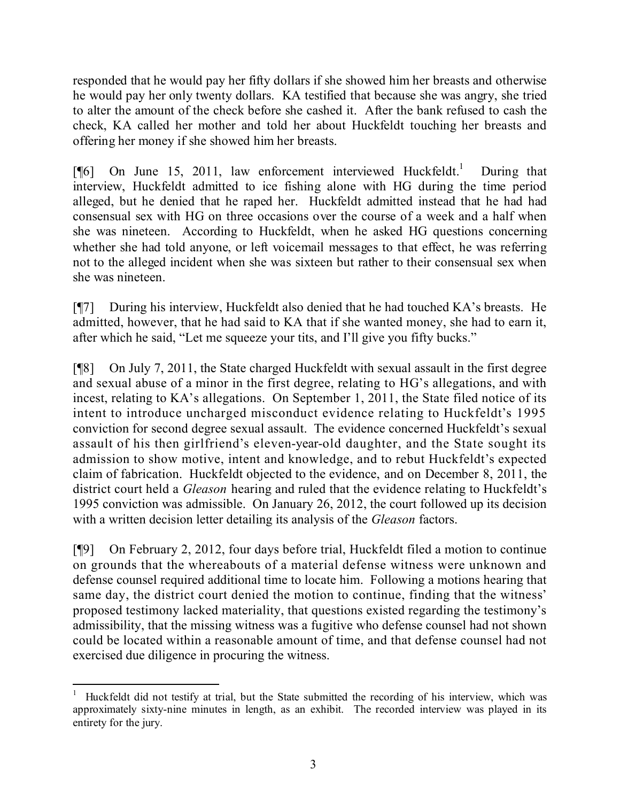responded that he would pay her fifty dollars if she showed him her breasts and otherwise he would pay her only twenty dollars. KA testified that because she was angry, she tried to alter the amount of the check before she cashed it. After the bank refused to cash the check, KA called her mother and told her about Huckfeldt touching her breasts and offering her money if she showed him her breasts.

 $[$ [6] On June 15, 2011, law enforcement interviewed Huckfeldt.<sup>1</sup> During that interview, Huckfeldt admitted to ice fishing alone with HG during the time period alleged, but he denied that he raped her. Huckfeldt admitted instead that he had had consensual sex with HG on three occasions over the course of a week and a half when she was nineteen. According to Huckfeldt, when he asked HG questions concerning whether she had told anyone, or left voicemail messages to that effect, he was referring not to the alleged incident when she was sixteen but rather to their consensual sex when she was nineteen.

[¶7] During his interview, Huckfeldt also denied that he had touched KA's breasts. He admitted, however, that he had said to KA that if she wanted money, she had to earn it, after which he said, "Let me squeeze your tits, and I'll give you fifty bucks."

[¶8] On July 7, 2011, the State charged Huckfeldt with sexual assault in the first degree and sexual abuse of a minor in the first degree, relating to HG's allegations, and with incest, relating to KA's allegations. On September 1, 2011, the State filed notice of its intent to introduce uncharged misconduct evidence relating to Huckfeldt's 1995 conviction for second degree sexual assault. The evidence concerned Huckfeldt's sexual assault of his then girlfriend's eleven-year-old daughter, and the State sought its admission to show motive, intent and knowledge, and to rebut Huckfeldt's expected claim of fabrication. Huckfeldt objected to the evidence, and on December 8, 2011, the district court held a *Gleason* hearing and ruled that the evidence relating to Huckfeldt's 1995 conviction was admissible. On January 26, 2012, the court followed up its decision with a written decision letter detailing its analysis of the *Gleason* factors.

[¶9] On February 2, 2012, four days before trial, Huckfeldt filed a motion to continue on grounds that the whereabouts of a material defense witness were unknown and defense counsel required additional time to locate him. Following a motions hearing that same day, the district court denied the motion to continue, finding that the witness' proposed testimony lacked materiality, that questions existed regarding the testimony's admissibility, that the missing witness was a fugitive who defense counsel had not shown could be located within a reasonable amount of time, and that defense counsel had not exercised due diligence in procuring the witness.

 <sup>1</sup> Huckfeldt did not testify at trial, but the State submitted the recording of his interview, which was approximately sixty-nine minutes in length, as an exhibit. The recorded interview was played in its entirety for the jury.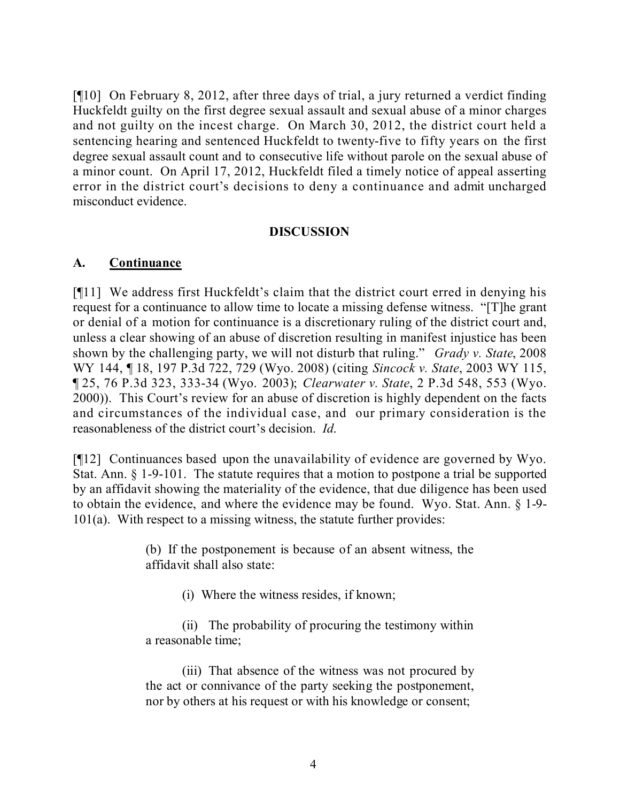[¶10] On February 8, 2012, after three days of trial, a jury returned a verdict finding Huckfeldt guilty on the first degree sexual assault and sexual abuse of a minor charges and not guilty on the incest charge. On March 30, 2012, the district court held a sentencing hearing and sentenced Huckfeldt to twenty-five to fifty years on the first degree sexual assault count and to consecutive life without parole on the sexual abuse of a minor count. On April 17, 2012, Huckfeldt filed a timely notice of appeal asserting error in the district court's decisions to deny a continuance and admit uncharged misconduct evidence.

## **DISCUSSION**

## **A. Continuance**

[¶11] We address first Huckfeldt's claim that the district court erred in denying his request for a continuance to allow time to locate a missing defense witness. "[T]he grant or denial of a motion for continuance is a discretionary ruling of the district court and, unless a clear showing of an abuse of discretion resulting in manifest injustice has been shown by the challenging party, we will not disturb that ruling." *Grady v. State*, 2008 WY 144, ¶ 18, 197 P.3d 722, 729 (Wyo. 2008) (citing *Sincock v. State*, 2003 WY 115, ¶ 25, 76 P.3d 323, 333-34 (Wyo. 2003); *Clearwater v. State*, 2 P.3d 548, 553 (Wyo. 2000)). This Court's review for an abuse of discretion is highly dependent on the facts and circumstances of the individual case, and our primary consideration is the reasonableness of the district court's decision. *Id*.

[¶12] Continuances based upon the unavailability of evidence are governed by Wyo. Stat. Ann. § 1-9-101. The statute requires that a motion to postpone a trial be supported by an affidavit showing the materiality of the evidence, that due diligence has been used to obtain the evidence, and where the evidence may be found. Wyo. Stat. Ann. § 1-9- 101(a). With respect to a missing witness, the statute further provides:

> (b) If the postponement is because of an absent witness, the affidavit shall also state:

> > (i) Where the witness resides, if known;

(ii) The probability of procuring the testimony within a reasonable time;

(iii) That absence of the witness was not procured by the act or connivance of the party seeking the postponement, nor by others at his request or with his knowledge or consent;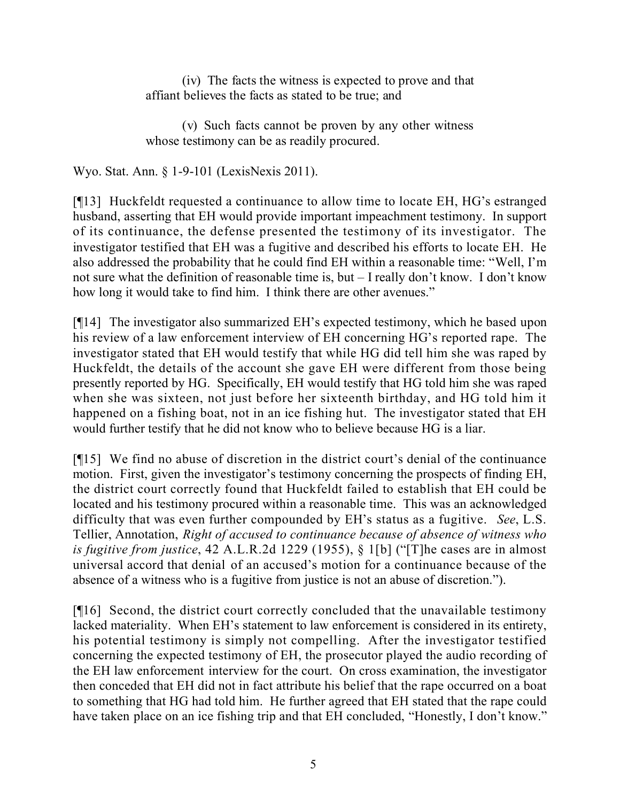(iv) The facts the witness is expected to prove and that affiant believes the facts as stated to be true; and

(v) Such facts cannot be proven by any other witness whose testimony can be as readily procured.

Wyo. Stat. Ann. § 1-9-101 (LexisNexis 2011).

[¶13] Huckfeldt requested a continuance to allow time to locate EH, HG's estranged husband, asserting that EH would provide important impeachment testimony. In support of its continuance, the defense presented the testimony of its investigator. The investigator testified that EH was a fugitive and described his efforts to locate EH. He also addressed the probability that he could find EH within a reasonable time: "Well, I'm not sure what the definition of reasonable time is, but – I really don't know. I don't know how long it would take to find him. I think there are other avenues."

[¶14] The investigator also summarized EH's expected testimony, which he based upon his review of a law enforcement interview of EH concerning HG's reported rape. The investigator stated that EH would testify that while HG did tell him she was raped by Huckfeldt, the details of the account she gave EH were different from those being presently reported by HG. Specifically, EH would testify that HG told him she was raped when she was sixteen, not just before her sixteenth birthday, and HG told him it happened on a fishing boat, not in an ice fishing hut. The investigator stated that EH would further testify that he did not know who to believe because HG is a liar.

[¶15] We find no abuse of discretion in the district court's denial of the continuance motion. First, given the investigator's testimony concerning the prospects of finding EH, the district court correctly found that Huckfeldt failed to establish that EH could be located and his testimony procured within a reasonable time. This was an acknowledged difficulty that was even further compounded by EH's status as a fugitive. *See*, L.S. Tellier, Annotation, *Right of accused to continuance because of absence of witness who is fugitive from justice*, 42 A.L.R.2d 1229 (1955), § 1[b] ("[T]he cases are in almost universal accord that denial of an accused's motion for a continuance because of the absence of a witness who is a fugitive from justice is not an abuse of discretion.").

[¶16] Second, the district court correctly concluded that the unavailable testimony lacked materiality. When EH's statement to law enforcement is considered in its entirety, his potential testimony is simply not compelling. After the investigator testified concerning the expected testimony of EH, the prosecutor played the audio recording of the EH law enforcement interview for the court. On cross examination, the investigator then conceded that EH did not in fact attribute his belief that the rape occurred on a boat to something that HG had told him. He further agreed that EH stated that the rape could have taken place on an ice fishing trip and that EH concluded, "Honestly, I don't know."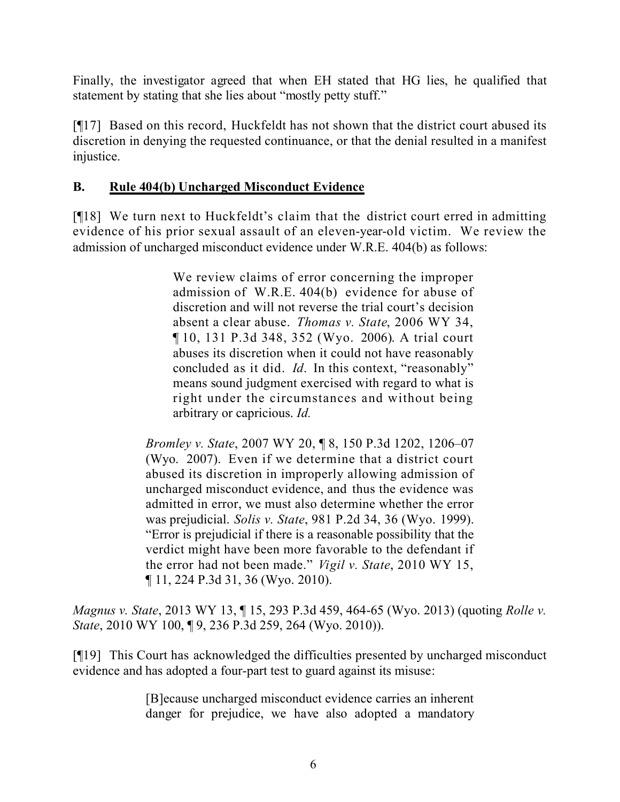Finally, the investigator agreed that when EH stated that HG lies, he qualified that statement by stating that she lies about "mostly petty stuff."

[¶17] Based on this record, Huckfeldt has not shown that the district court abused its discretion in denying the requested continuance, or that the denial resulted in a manifest injustice.

# **B. Rule 404(b) Uncharged Misconduct Evidence**

[¶18] We turn next to Huckfeldt's claim that the district court erred in admitting evidence of his prior sexual assault of an eleven-year-old victim. We review the admission of uncharged misconduct evidence under W.R.E. 404(b) as follows:

> We review claims of error concerning the improper admission of W.R.E. 404(b) evidence for abuse of discretion and will not reverse the trial court's decision absent a clear abuse. *Thomas v. State*, 2006 WY 34, ¶ 10, 131 P.3d 348, 352 (Wyo. 2006). A trial court abuses its discretion when it could not have reasonably concluded as it did. *Id*. In this context, "reasonably" means sound judgment exercised with regard to what is right under the circumstances and without being arbitrary or capricious. *Id.*

*Bromley v. State*, 2007 WY 20, ¶ 8, 150 P.3d 1202, 1206–07 (Wyo. 2007). Even if we determine that a district court abused its discretion in improperly allowing admission of uncharged misconduct evidence, and thus the evidence was admitted in error, we must also determine whether the error was prejudicial. *Solis v. State*, 981 P.2d 34, 36 (Wyo. 1999). "Error is prejudicial if there is a reasonable possibility that the verdict might have been more favorable to the defendant if the error had not been made." *Vigil v. State*, 2010 WY 15, ¶ 11, 224 P.3d 31, 36 (Wyo. 2010).

*Magnus v. State*, 2013 WY 13, ¶ 15, 293 P.3d 459, 464-65 (Wyo. 2013) (quoting *Rolle v. State*, 2010 WY 100, ¶ 9, 236 P.3d 259, 264 (Wyo. 2010)).

[¶19] This Court has acknowledged the difficulties presented by uncharged misconduct evidence and has adopted a four-part test to guard against its misuse:

> [B]ecause uncharged misconduct evidence carries an inherent danger for prejudice, we have also adopted a mandatory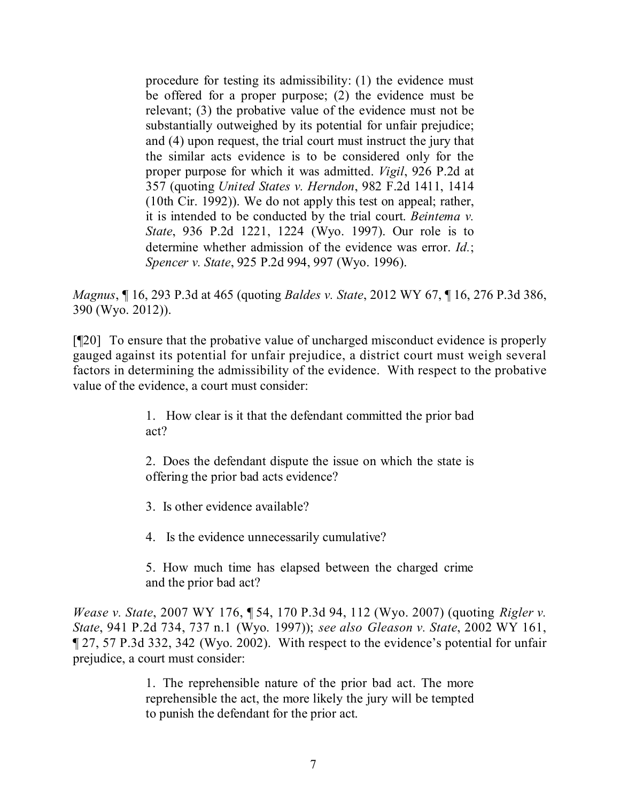procedure for testing its admissibility: (1) the evidence must be offered for a proper purpose; (2) the evidence must be relevant; (3) the probative value of the evidence must not be substantially outweighed by its potential for unfair prejudice; and (4) upon request, the trial court must instruct the jury that the similar acts evidence is to be considered only for the proper purpose for which it was admitted. *Vigil*, 926 P.2d at 357 (quoting *United States v. Herndon*, 982 F.2d 1411, 1414 (10th Cir. 1992)). We do not apply this test on appeal; rather, it is intended to be conducted by the trial court. *Beintema v. State*, 936 P.2d 1221, 1224 (Wyo. 1997). Our role is to determine whether admission of the evidence was error. *Id.*; *Spencer v. State*, 925 P.2d 994, 997 (Wyo. 1996).

*Magnus*, ¶ 16, 293 P.3d at 465 (quoting *Baldes v. State*, 2012 WY 67, ¶ 16, 276 P.3d 386, 390 (Wyo. 2012)).

[¶20] To ensure that the probative value of uncharged misconduct evidence is properly gauged against its potential for unfair prejudice, a district court must weigh several factors in determining the admissibility of the evidence. With respect to the probative value of the evidence, a court must consider:

> 1. How clear is it that the defendant committed the prior bad act?

> 2. Does the defendant dispute the issue on which the state is offering the prior bad acts evidence?

3. Is other evidence available?

4. Is the evidence unnecessarily cumulative?

5. How much time has elapsed between the charged crime and the prior bad act?

*Wease v. State*, 2007 WY 176, ¶ 54, 170 P.3d 94, 112 (Wyo. 2007) (quoting *Rigler v. State*, 941 P.2d 734, 737 n.1 (Wyo. 1997)); *see also Gleason v. State*, 2002 WY 161, ¶ 27, 57 P.3d 332, 342 (Wyo. 2002). With respect to the evidence's potential for unfair prejudice, a court must consider:

> 1. The reprehensible nature of the prior bad act. The more reprehensible the act, the more likely the jury will be tempted to punish the defendant for the prior act.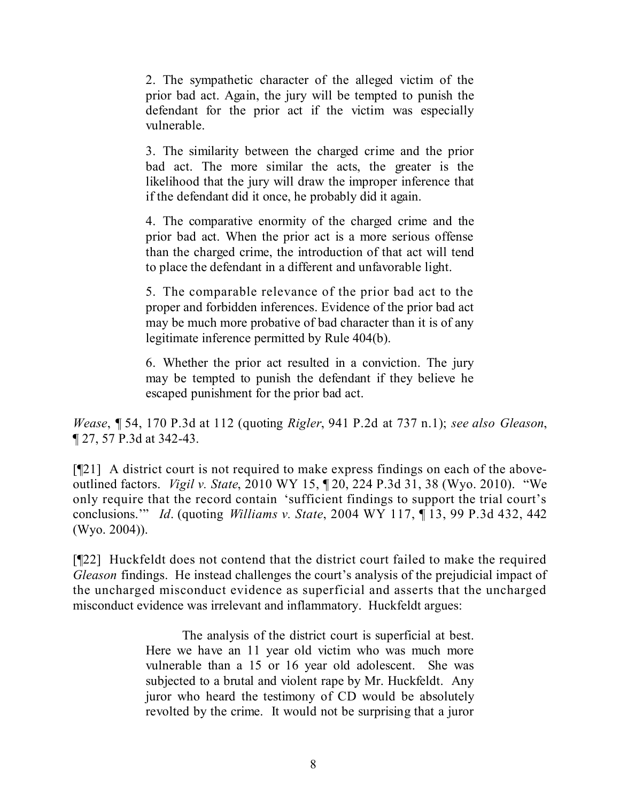2. The sympathetic character of the alleged victim of the prior bad act. Again, the jury will be tempted to punish the defendant for the prior act if the victim was especially vulnerable.

3. The similarity between the charged crime and the prior bad act. The more similar the acts, the greater is the likelihood that the jury will draw the improper inference that if the defendant did it once, he probably did it again.

4. The comparative enormity of the charged crime and the prior bad act. When the prior act is a more serious offense than the charged crime, the introduction of that act will tend to place the defendant in a different and unfavorable light.

5. The comparable relevance of the prior bad act to the proper and forbidden inferences. Evidence of the prior bad act may be much more probative of bad character than it is of any legitimate inference permitted by Rule 404(b).

6. Whether the prior act resulted in a conviction. The jury may be tempted to punish the defendant if they believe he escaped punishment for the prior bad act.

*Wease*, ¶ 54, 170 P.3d at 112 (quoting *Rigler*, 941 P.2d at 737 n.1); *see also Gleason*, ¶ 27, 57 P.3d at 342-43.

[¶21] A district court is not required to make express findings on each of the aboveoutlined factors. *Vigil v. State*, 2010 WY 15, ¶ 20, 224 P.3d 31, 38 (Wyo. 2010). "We only require that the record contain 'sufficient findings to support the trial court's conclusions.'" *Id*. (quoting *Williams v. State*, 2004 WY 117, ¶ 13, 99 P.3d 432, 442 (Wyo. 2004)).

[¶22] Huckfeldt does not contend that the district court failed to make the required *Gleason* findings. He instead challenges the court's analysis of the prejudicial impact of the uncharged misconduct evidence as superficial and asserts that the uncharged misconduct evidence was irrelevant and inflammatory. Huckfeldt argues:

> The analysis of the district court is superficial at best. Here we have an 11 year old victim who was much more vulnerable than a 15 or 16 year old adolescent. She was subjected to a brutal and violent rape by Mr. Huckfeldt. Any juror who heard the testimony of CD would be absolutely revolted by the crime. It would not be surprising that a juror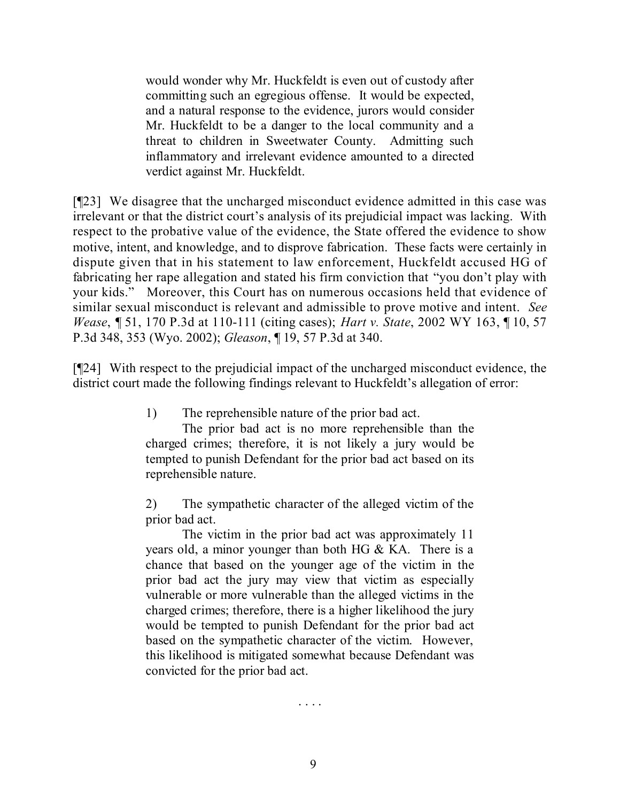would wonder why Mr. Huckfeldt is even out of custody after committing such an egregious offense. It would be expected, and a natural response to the evidence, jurors would consider Mr. Huckfeldt to be a danger to the local community and a threat to children in Sweetwater County. Admitting such inflammatory and irrelevant evidence amounted to a directed verdict against Mr. Huckfeldt.

[¶23] We disagree that the uncharged misconduct evidence admitted in this case was irrelevant or that the district court's analysis of its prejudicial impact was lacking. With respect to the probative value of the evidence, the State offered the evidence to show motive, intent, and knowledge, and to disprove fabrication. These facts were certainly in dispute given that in his statement to law enforcement, Huckfeldt accused HG of fabricating her rape allegation and stated his firm conviction that "you don't play with your kids." Moreover, this Court has on numerous occasions held that evidence of similar sexual misconduct is relevant and admissible to prove motive and intent. *See Wease*, ¶ 51, 170 P.3d at 110-111 (citing cases); *Hart v. State*, 2002 WY 163, ¶ 10, 57 P.3d 348, 353 (Wyo. 2002); *Gleason*, ¶ 19, 57 P.3d at 340.

[¶24] With respect to the prejudicial impact of the uncharged misconduct evidence, the district court made the following findings relevant to Huckfeldt's allegation of error:

1) The reprehensible nature of the prior bad act.

The prior bad act is no more reprehensible than the charged crimes; therefore, it is not likely a jury would be tempted to punish Defendant for the prior bad act based on its reprehensible nature.

2) The sympathetic character of the alleged victim of the prior bad act.

The victim in the prior bad act was approximately 11 years old, a minor younger than both HG & KA. There is a chance that based on the younger age of the victim in the prior bad act the jury may view that victim as especially vulnerable or more vulnerable than the alleged victims in the charged crimes; therefore, there is a higher likelihood the jury would be tempted to punish Defendant for the prior bad act based on the sympathetic character of the victim. However, this likelihood is mitigated somewhat because Defendant was convicted for the prior bad act.

. . . .